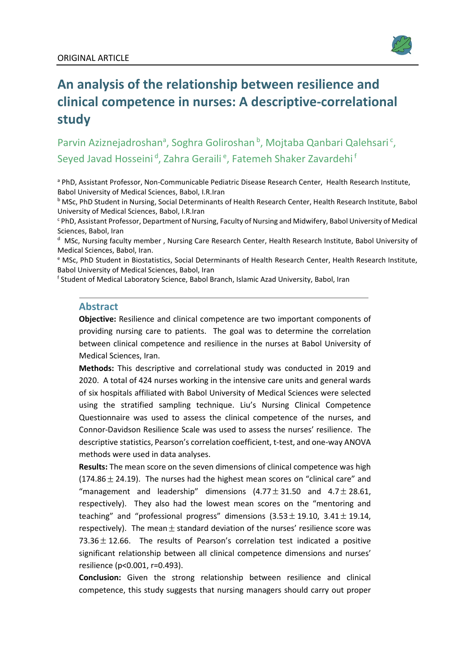

# **An analysis of the relationship between resilience and clinical competence in nurses: A descriptive-correlational study**

Parvin Aziznejadroshan<sup>a</sup>, Soghra Goliroshan<sup>b</sup>, Mojtaba Qanbari Qalehsari<sup>c</sup>, Seyed Javad Hosseini<sup>d</sup>, Zahra Geraili<sup>e</sup>, Fatemeh Shaker Zavardehi<sup>f</sup>

a PhD, Assistant Professor, Non-Communicable Pediatric Disease Research Center, Health Research Institute, Babol University of Medical Sciences, Babol, I.R.Iran

<sup>b</sup> MSc, PhD Student in Nursing, Social Determinants of Health Research Center, Health Research Institute, Babol University of Medical Sciences, Babol, I.R.Iran

<sup>c</sup> PhD, Assistant Professor, Department of Nursing, Faculty of Nursing and Midwifery, Babol University of Medical Sciences, Babol, Iran

d MSc, Nursing faculty member, Nursing Care Research Center, Health Research Institute, Babol University of Medical Sciences, Babol, Iran.

<sup>e</sup> MSc, PhD Student in Biostatistics, Social Determinants of Health Research Center, Health Research Institute, Babol University of Medical Sciences, Babol, Iran

<sup>f</sup> Student of Medical Laboratory Science, Babol Branch, Islamic Azad University, Babol, Iran

#### **Abstract**

**Objective:** Resilience and clinical competence are two important components of providing nursing care to patients. The goal was to determine the correlation between clinical competence and resilience in the nurses at Babol University of Medical Sciences, Iran.

**Methods:** This descriptive and correlational study was conducted in 2019 and 2020. A total of 424 nurses working in the intensive care units and general wards of six hospitals affiliated with Babol University of Medical Sciences were selected using the stratified sampling technique. Liu's Nursing Clinical Competence Questionnaire was used to assess the clinical competence of the nurses, and Connor-Davidson Resilience Scale was used to assess the nurses' resilience. The descriptive statistics, Pearson's correlation coefficient, t-test, and one-way ANOVA methods were used in data analyses.

**Results:** The mean score on the seven dimensions of clinical competence was high  $(174.86 \pm 24.19)$ . The nurses had the highest mean scores on "clinical care" and "management and leadership" dimensions  $(4.77 \pm 31.50$  and  $4.7 \pm 28.61$ , respectively). They also had the lowest mean scores on the "mentoring and teaching" and "professional progress" dimensions  $(3.53 \pm 19.10, 3.41 \pm 19.14, 1.11)$ respectively). The mean  $\pm$  standard deviation of the nurses' resilience score was 73.36 $\pm$  12.66. The results of Pearson's correlation test indicated a positive significant relationship between all clinical competence dimensions and nurses' resilience (p<0.001, r=0.493).

**Conclusion:** Given the strong relationship between resilience and clinical competence, this study suggests that nursing managers should carry out proper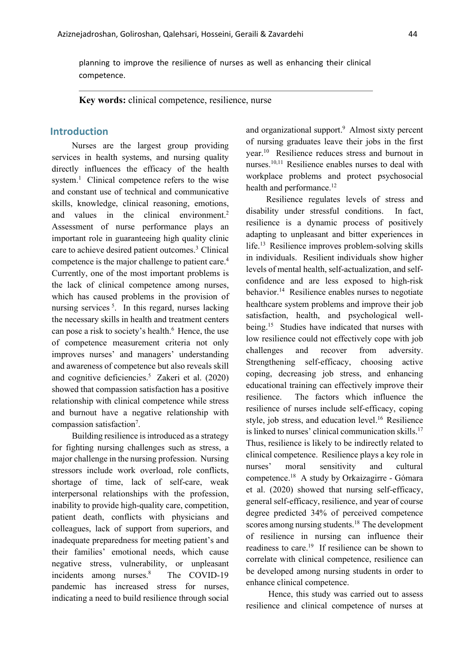planning to improve the resilience of nurses as well as enhancing their clinical competence.

**Key words:** clinical competence, resilience, nurse

## **Introduction**

Nurses are the largest group providing services in health systems, and nursing quality directly influences the efficacy of the health system. <sup>1</sup> Clinical competence refers to the wise and constant use of technical and communicative skills, knowledge, clinical reasoning, emotions, and values in the clinical environment.<sup>2</sup> Assessment of nurse performance plays an important role in guaranteeing high quality clinic care to achieve desired patient outcomes.3 Clinical competence is the major challenge to patient care.<sup>4</sup> Currently, one of the most important problems is the lack of clinical competence among nurses, which has caused problems in the provision of nursing services<sup>5</sup>. In this regard, nurses lacking the necessary skills in health and treatment centers can pose a risk to society's health.<sup>6</sup> Hence, the use of competence measurement criteria not only improves nurses' and managers' understanding and awareness of competence but also reveals skill and cognitive deficiencies. <sup>5</sup> Zakeri et al. (2020) showed that compassion satisfaction has a positive relationship with clinical competence while stress and burnout have a negative relationship with compassion satisfaction<sup>7</sup>.

Building resilience is introduced as a strategy for fighting nursing challenges such as stress, a major challenge in the nursing profession. Nursing stressors include work overload, role conflicts, shortage of time, lack of self-care, weak interpersonal relationships with the profession, inability to provide high-quality care, competition, patient death, conflicts with physicians and colleagues, lack of support from superiors, and inadequate preparedness for meeting patient's and their families' emotional needs, which cause negative stress, vulnerability, or unpleasant incidents among nurses. The COVID-19 pandemic has increased stress for nurses, indicating a need to build resilience through social

and organizational support.<sup>9</sup> Almost sixty percent of nursing graduates leave their jobs in the first year. <sup>10</sup> Resilience reduces stress and burnout in nurses. 10,11 Resilience enables nurses to deal with workplace problems and protect psychosocial health and performance.<sup>12</sup>

Resilience regulates levels of stress and disability under stressful conditions. In fact, resilience is a dynamic process of positively adapting to unpleasant and bitter experiences in life.<sup>13</sup> Resilience improves problem-solving skills in individuals. Resilient individuals show higher levels of mental health, self-actualization, and selfconfidence and are less exposed to high-risk behavior. <sup>14</sup> Resilience enables nurses to negotiate healthcare system problems and improve their job satisfaction, health, and psychological wellbeing. <sup>15</sup> Studies have indicated that nurses with low resilience could not effectively cope with job challenges and recover from adversity. Strengthening self-efficacy, choosing active coping, decreasing job stress, and enhancing educational training can effectively improve their resilience. The factors which influence the resilience of nurses include self-efficacy, coping style, job stress, and education level. 16 Resilience is linked to nurses' clinical communication skills. 17 Thus, resilience is likely to be indirectly related to clinical competence. Resilience plays a key role in nurses' moral sensitivity and cultural competence.18 A study by Orkaizagirre ‐ Gómara et al. (2020) showed that nursing self-efficacy, general self-efficacy, resilience, and year of course degree predicted 34% of perceived competence scores among nursing students.<sup>18</sup> The development of resilience in nursing can influence their readiness to care. <sup>19</sup> If resilience can be shown to correlate with clinical competence, resilience can be developed among nursing students in order to enhance clinical competence.

Hence, this study was carried out to assess resilience and clinical competence of nurses at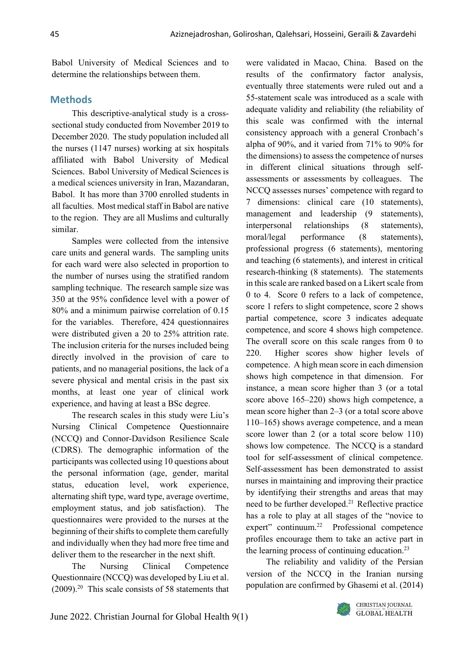Babol University of Medical Sciences and to determine the relationships between them.

## **Methods**

This descriptive-analytical study is a crosssectional study conducted from November 2019 to December 2020. The study population included all the nurses (1147 nurses) working at six hospitals affiliated with Babol University of Medical Sciences. Babol University of Medical Sciences is a medical sciences university in Iran, Mazandaran, Babol. It has more than 3700 enrolled students in all faculties. Most medical staff in Babol are native to the region. They are all Muslims and culturally similar.

Samples were collected from the intensive care units and general wards. The sampling units for each ward were also selected in proportion to the number of nurses using the stratified random sampling technique. The research sample size was 350 at the 95% confidence level with a power of 80% and a minimum pairwise correlation of 0.15 for the variables. Therefore, 424 questionnaires were distributed given a 20 to 25% attrition rate. The inclusion criteria for the nurses included being directly involved in the provision of care to patients, and no managerial positions, the lack of a severe physical and mental crisis in the past six months, at least one year of clinical work experience, and having at least a BSc degree.

The research scales in this study were Liu's Nursing Clinical Competence Questionnaire (NCCQ) and Connor-Davidson Resilience Scale (CDRS). The demographic information of the participants was collected using 10 questions about the personal information (age, gender, marital status, education level, work experience, alternating shift type, ward type, average overtime, employment status, and job satisfaction). The questionnaires were provided to the nurses at the beginning of their shifts to complete them carefully and individually when they had more free time and deliver them to the researcher in the next shift.

The Nursing Clinical Competence Questionnaire (NCCQ) was developed by Liu et al.  $(2009).<sup>20</sup>$  This scale consists of 58 statements that were validated in Macao, China. Based on the results of the confirmatory factor analysis, eventually three statements were ruled out and a 55-statement scale was introduced as a scale with adequate validity and reliability (the reliability of this scale was confirmed with the internal consistency approach with a general Cronbach's alpha of 90%, and it varied from 71% to 90% for the dimensions) to assess the competence of nurses in different clinical situations through selfassessments or assessments by colleagues. The NCCQ assesses nurses' competence with regard to 7 dimensions: clinical care (10 statements), management and leadership (9 statements), interpersonal relationships (8 statements), moral/legal performance (8 statements), professional progress (6 statements), mentoring and teaching (6 statements), and interest in critical research-thinking (8 statements). The statements in this scale are ranked based on a Likert scale from 0 to 4. Score 0 refers to a lack of competence, score 1 refers to slight competence, score 2 shows partial competence, score 3 indicates adequate competence, and score 4 shows high competence. The overall score on this scale ranges from 0 to 220. Higher scores show higher levels of competence. A high mean score in each dimension shows high competence in that dimension. For instance, a mean score higher than 3 (or a total score above 165–220) shows high competence, a mean score higher than 2–3 (or a total score above 110–165) shows average competence, and a mean score lower than 2 (or a total score below 110) shows low competence. The NCCQ is a standard tool for self-assessment of clinical competence. Self-assessment has been demonstrated to assist nurses in maintaining and improving their practice by identifying their strengths and areas that may need to be further developed.<sup>21</sup> Reflective practice has a role to play at all stages of the "novice to expert" continuum.22 Professional competence profiles encourage them to take an active part in the learning process of continuing education.<sup>23</sup>

The reliability and validity of the Persian version of the NCCQ in the Iranian nursing population are confirmed by Ghasemi et al. (2014)

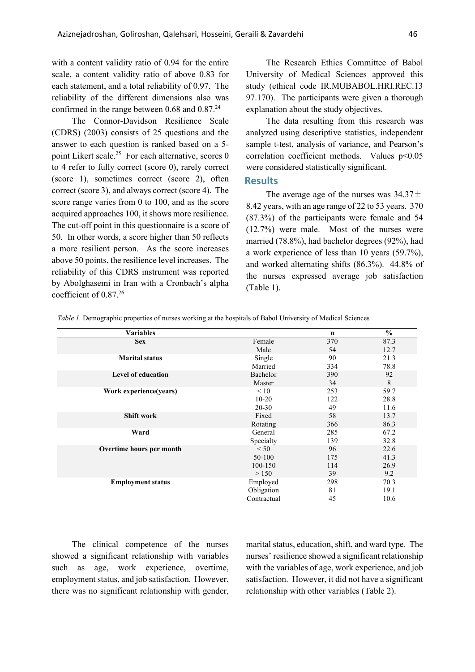with a content validity ratio of 0.94 for the entire scale, a content validity ratio of above 0.83 for each statement, and a total reliability of 0.97. The reliability of the different dimensions also was confirmed in the range between 0.68 and 0.87.<sup>24</sup>

The Connor-Davidson Resilience Scale (CDRS) (2003) consists of 25 questions and the answer to each question is ranked based on a 5 point Likert scale.<sup>25</sup> For each alternative, scores 0 to 4 refer to fully correct (score 0), rarely correct (score 1), sometimes correct (score 2), often correct (score 3), and always correct (score 4). The score range varies from 0 to 100, and as the score acquired approaches 100, it shows more resilience. The cut-off point in this questionnaire is a score of 50. In other words, a score higher than 50 reflects a more resilient person. As the score increases above 50 points, the resilience level increases. The reliability of this CDRS instrument was reported by Abolghasemi in Iran with a Cronbach's alpha coefficient of 0.87.26

The Research Ethics Committee of Babol University of Medical Sciences approved this study (ethical code IR.MUBABOL.HRI.REC.13 97.170). The participants were given a thorough explanation about the study objectives.

The data resulting from this research was analyzed using descriptive statistics, independent sample t-test, analysis of variance, and Pearson's correlation coefficient methods. Values p<0.05 were considered statistically significant.

#### **Results**

The average age of the nurses was  $34.37 \pm$ 8.42 years, with an age range of 22 to 53 years. 370 (87.3%) of the participants were female and 54 (12.7%) were male. Most of the nurses were married (78.8%), had bachelor degrees (92%), had a work experience of less than 10 years (59.7%), and worked alternating shifts (86.3%). 44.8% of the nurses expressed average job satisfaction (Table 1).

*Table 1.* Demographic properties of nurses working at the hospitals of Babol University of Medical Sciences

| <b>Variables</b>          |             | $\mathbf n$ | $\frac{6}{6}$ |
|---------------------------|-------------|-------------|---------------|
| <b>Sex</b>                | Female      | 370         | 87.3          |
|                           | Male        | 54          | 12.7          |
| <b>Marital status</b>     | Single      | 90          | 21.3          |
|                           | Married     | 334         | 78.8          |
| <b>Level of education</b> | Bachelor    | 390         | 92            |
|                           | Master      | 34          | 8             |
| Work experience(years)    | $\leq 10$   | 253         | 59.7          |
|                           | $10 - 20$   | 122         | 28.8          |
|                           | $20 - 30$   | 49          | 11.6          |
| <b>Shift work</b>         | Fixed       | 58          | 13.7          |
|                           | Rotating    | 366         | 86.3          |
| Ward                      | General     | 285         | 67.2          |
|                           | Specialty   | 139         | 32.8          |
| Overtime hours per month  | < 50        | 96          | 22.6          |
|                           | 50-100      | 175         | 41.3          |
|                           | 100-150     | 114         | 26.9          |
|                           | > 150       | 39          | 9.2           |
| <b>Employment status</b>  | Employed    | 298         | 70.3          |
|                           | Obligation  | 81          | 19.1          |
|                           | Contractual | 45          | 10.6          |

The clinical competence of the nurses showed a significant relationship with variables such as age, work experience, overtime, employment status, and job satisfaction. However, there was no significant relationship with gender, marital status, education, shift, and ward type. The nurses' resilience showed a significant relationship with the variables of age, work experience, and job satisfaction. However, it did not have a significant relationship with other variables (Table 2).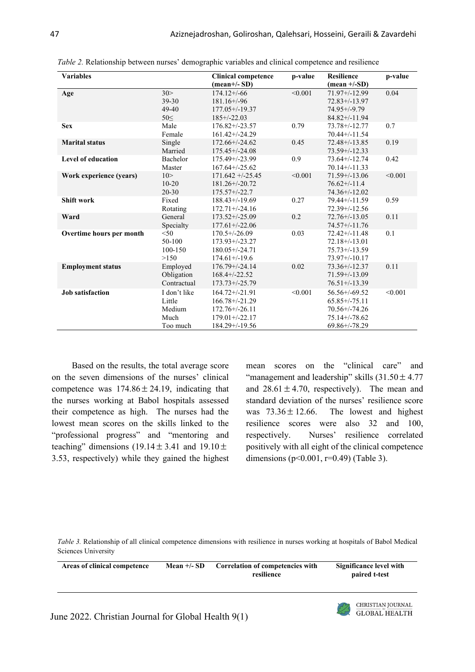| <b>Variables</b>          |                                                      | <b>Clinical competence</b><br>$(\text{mean}+\text{/-SD})$                                                    | p-value | <b>Resilience</b><br>$(\text{mean} +/-SD)$                                                              | p-value |
|---------------------------|------------------------------------------------------|--------------------------------------------------------------------------------------------------------------|---------|---------------------------------------------------------------------------------------------------------|---------|
| Age                       | 30><br>39-30<br>$49 - 40$<br>50<                     | $174.12 + (-66)$<br>$181.16+/96$<br>$177.05 + (-19.37)$<br>$185+/22.03$                                      | < 0.001 | $71.97+/12.99$<br>$72.83+/13.97$<br>$74.95 + (-9.79)$<br>$84.82 + / - 11.94$                            | 0.04    |
| <b>Sex</b>                | Male<br>Female                                       | $176.82 + (-23.57)$<br>$161.42+/-24.29$                                                                      | 0.79    | $73.78 + (-12.77)$<br>$70.44 + (-11.54)$                                                                | 0.7     |
| <b>Marital status</b>     | Single<br>Married                                    | $172.66 + (-24.62)$<br>$175.45+/-24.08$                                                                      | 0.45    | $72.48 + (-13.85)$<br>$73.59 + (-12.33)$                                                                | 0.19    |
| <b>Level of education</b> | Bachelor<br>Master                                   | 175.49+/-23.99<br>$167.64 + (-25.62)$                                                                        | 0.9     | $73.64 + (-12.74)$<br>$70.14 + (-11.33)$                                                                | 0.42    |
| Work experience (years)   | 10 ><br>$10 - 20$<br>$20 - 30$                       | $171.642 + (-25.45)$<br>$181.26 + (-20.72)$<br>$175.57 + (-22.7)$                                            | < 0.001 | $71.59 + (-13.06)$<br>$76.62+/-11.4$<br>$74.36+/-12.02$                                                 | < 0.001 |
| <b>Shift work</b>         | Fixed<br>Rotating                                    | $188.43+/-19.69$<br>$172.71 + (-24.16)$                                                                      | 0.27    | $79.44 + (-11.59)$<br>$72.39 + (-12.56)$                                                                | 0.59    |
| Ward                      | General<br>Specialty                                 | $173.52+/-25.09$<br>$177.61 + (-22.06)$                                                                      | 0.2     | $72.76 + (-13.05)$<br>$74.57 + (-11.76)$                                                                | 0.11    |
| Overtime hours per month  | < 50<br>$50-100$<br>100-150<br>>150                  | $170.5 + (-26.09)$<br>$173.93+/23.27$<br>$180.05 + (-24.71)$<br>$174.61 + (-19.6)$                           | 0.03    | $72.42+/-11.48$<br>$72.18 + (-13.01)$<br>$75.73 + (-13.59)$<br>$73.97+/10.17$                           | 0.1     |
| <b>Employment status</b>  | Employed<br>Obligation<br>Contractual                | $176.79 + (-24.14)$<br>$168.4 + (-22.52)$<br>$173.73+/-25.79$                                                | 0.02    | $73.36 + (-12.37)$<br>$71.59 + (-13.09)$<br>$76.51 + (-13.39)$                                          | 0.11    |
| <b>Job</b> satisfaction   | I don't like<br>Little<br>Medium<br>Much<br>Too much | $164.72+/-21.91$<br>$166.78 + (-21.29)$<br>$172.76 + (-26.11)$<br>$179.01 + (-22.17)$<br>$184.29 + (-19.56)$ | < 0.001 | $56.56 + (-69.52)$<br>$65.85+/75.11$<br>$70.56 + (-74.26)$<br>$75.14 + (-78.62)$<br>$69.86 + / - 78.29$ | < 0.001 |

*Table 2.* Relationship between nurses' demographic variables and clinical competence and resilience

Based on the results, the total average score on the seven dimensions of the nurses' clinical competence was  $174.86 \pm 24.19$ , indicating that the nurses working at Babol hospitals assessed their competence as high. The nurses had the lowest mean scores on the skills linked to the "professional progress" and "mentoring and teaching" dimensions  $(19.14 \pm 3.41$  and  $19.10 \pm 1.1$ 3.53, respectively) while they gained the highest

mean scores on the "clinical care" and "management and leadership" skills  $(31.50 \pm 4.77)$ and  $28.61 \pm 4.70$ , respectively). The mean and standard deviation of the nurses' resilience score The lowest and highest resilience scores were also 32 and 100, respectively. Nurses' resilience correlated positively with all eight of the clinical competence dimensions ( $p<0.001$ ,  $r=0.49$ ) (Table 3). was  $73.36 \pm 12.66$ .

*Table 3.* Relationship of all clinical competence dimensions with resilience in nurses working at hospitals of Babol Medical Sciences University

| Areas of clinical competence                                                                                                                           | Mean $+/-$ SD | Correlation of competencies with<br>resilience | Significance level with<br>paired t-test  |
|--------------------------------------------------------------------------------------------------------------------------------------------------------|---------------|------------------------------------------------|-------------------------------------------|
| $\mathcal{L}_{\text{max}}$ 0000 $\mathcal{O}(1, 1, 1, 1)$ $\mathcal{L}_{\text{max}}$ 1 $\mathcal{L}_{\text{max}}$ $\mathcal{O}(1, 1, 1, 1, 1, 1, 0/1)$ |               |                                                | CHRISTIAN JOURNAL<br><b>GLOBAL HEALTH</b> |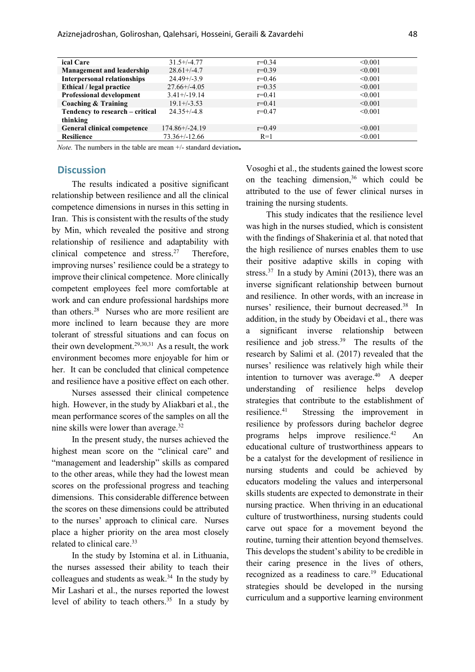| ical Care                          | $31.5+/-4.77$       | $r=0.34$ | < 0.001 |
|------------------------------------|---------------------|----------|---------|
| <b>Management and leadership</b>   | $28.61 + (-4.7)$    | $r=0.39$ | < 0.001 |
| <b>Interpersonal relationships</b> | $24.49 + (-3.9)$    | $r=0.46$ | < 0.001 |
| Ethical / legal practice           | $27.66 + (-4.05)$   | $r=0.35$ | < 0.001 |
| Professional development           | $3.41 + (-19.14)$   | $r=0.41$ | < 0.001 |
| Coaching & Training                | $19.1 + (-3.53)$    | $r=0.41$ | < 0.001 |
| Tendency to research – critical    | $24.35 + (-4.8)$    | $r=0.47$ | < 0.001 |
| thinking                           |                     |          |         |
| <b>General clinical competence</b> | $174.86 + (-24.19)$ | $r=0.49$ | < 0.001 |
| <b>Resilience</b>                  | $73.36+/-12.66$     | $R=1$    | < 0.001 |
|                                    |                     |          |         |

*Note.* The numbers in the table are mean +/- standard deviation**.**

### **Discussion**

The results indicated a positive significant relationship between resilience and all the clinical competence dimensions in nurses in this setting in Iran. This is consistent with the results of the study by Min, which revealed the positive and strong relationship of resilience and adaptability with clinical competence and stress.<sup>27</sup> Therefore, improving nurses' resilience could be a strategy to improve their clinical competence. More clinically competent employees feel more comfortable at work and can endure professional hardships more than others. <sup>28</sup> Nurses who are more resilient are more inclined to learn because they are more tolerant of stressful situations and can focus on their own development.<sup>29,30,31</sup> As a result, the work environment becomes more enjoyable for him or her. It can be concluded that clinical competence and resilience have a positive effect on each other.

Nurses assessed their clinical competence high. However, in the study by Aliakbari et al*.*, the mean performance scores of the samples on all the nine skills were lower than average.32

In the present study, the nurses achieved the highest mean score on the "clinical care" and "management and leadership" skills as compared to the other areas, while they had the lowest mean scores on the professional progress and teaching dimensions. This considerable difference between the scores on these dimensions could be attributed to the nurses' approach to clinical care. Nurses place a higher priority on the area most closely related to clinical care. 33

In the study by Istomina et al. in Lithuania, the nurses assessed their ability to teach their colleagues and students as weak. $34$  In the study by Mir Lashari et al., the nurses reported the lowest level of ability to teach others.<sup>35</sup> In a study by Vosoghi et al., the students gained the lowest score on the teaching dimension, $36$  which could be attributed to the use of fewer clinical nurses in training the nursing students.

This study indicates that the resilience level was high in the nurses studied, which is consistent with the findings of Shakerinia et al. that noted that the high resilience of nurses enables them to use their positive adaptive skills in coping with stress.<sup>37</sup> In a study by Amini (2013), there was an inverse significant relationship between burnout and resilience. In other words, with an increase in nurses' resilience, their burnout decreased. <sup>38</sup> In addition, in the study by Obeidavi et al., there was a significant inverse relationship between resilience and job stress.<sup>39</sup> The results of the research by Salimi et al. (2017) revealed that the nurses' resilience was relatively high while their intention to turnover was average. $40$  A deeper understanding of resilience helps develop strategies that contribute to the establishment of resilience. Stressing the improvement in resilience by professors during bachelor degree programs helps improve resilience.  $An$ educational culture of trustworthiness appears to be a catalyst for the development of resilience in nursing students and could be achieved by educators modeling the values and interpersonal skills students are expected to demonstrate in their nursing practice. When thriving in an educational culture of trustworthiness, nursing students could carve out space for a movement beyond the routine, turning their attention beyond themselves. This develops the student's ability to be credible in their caring presence in the lives of others, recognized as a readiness to care.<sup>19</sup> Educational strategies should be developed in the nursing curriculum and a supportive learning environment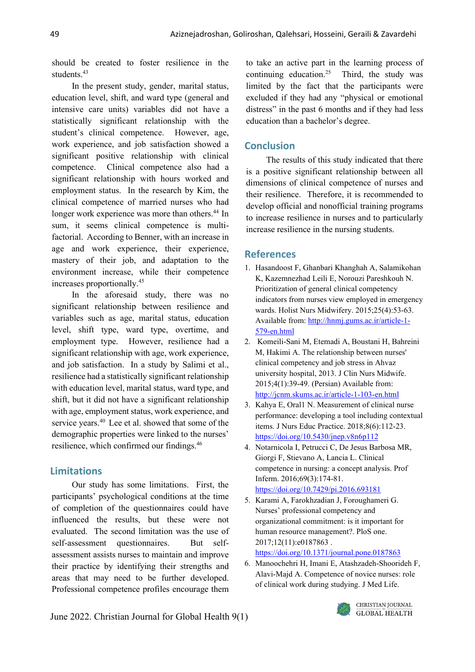should be created to foster resilience in the students.<sup>43</sup>

In the present study, gender, marital status, education level, shift, and ward type (general and intensive care units) variables did not have a statistically significant relationship with the student's clinical competence. However, age, work experience, and job satisfaction showed a significant positive relationship with clinical competence. Clinical competence also had a significant relationship with hours worked and employment status. In the research by Kim, the clinical competence of married nurses who had longer work experience was more than others. <sup>44</sup> In sum, it seems clinical competence is multifactorial. According to Benner, with an increase in age and work experience, their experience, mastery of their job, and adaptation to the environment increase, while their competence increases proportionally. 45

In the aforesaid study, there was no significant relationship between resilience and variables such as age, marital status, education level, shift type, ward type, overtime, and employment type. However, resilience had a significant relationship with age, work experience, and job satisfaction. In a study by Salimi et al., resilience had a statistically significant relationship with education level, marital status, ward type, and shift, but it did not have a significant relationship with age, employment status, work experience, and service years. <sup>40</sup> Lee et al. showed that some of the demographic properties were linked to the nurses' resilience, which confirmed our findings. 46

# **Limitations**

Our study has some limitations. First, the participants' psychological conditions at the time of completion of the questionnaires could have influenced the results, but these were not evaluated. The second limitation was the use of self-assessment questionnaires. But selfassessment assists nurses to maintain and improve their practice by identifying their strengths and areas that may need to be further developed. Professional competence profiles encourage them

to take an active part in the learning process of continuing education.<sup>25</sup> Third, the study was limited by the fact that the participants were excluded if they had any "physical or emotional distress" in the past 6 months and if they had less education than a bachelor's degree.

# **Conclusion**

The results of this study indicated that there is a positive significant relationship between all dimensions of clinical competence of nurses and their resilience. Therefore, it is recommended to develop official and nonofficial training programs to increase resilience in nurses and to particularly increase resilience in the nursing students.

## **References**

- 1. Hasandoost F, Ghanbari Khanghah A, Salamikohan K, Kazemnezhad Leili E, Norouzi Pareshkouh N. Prioritization of general clinical competency indicators from nurses view employed in emergency wards. Holist Nurs Midwifery. 2015;25(4):53-63. Available from: [http://hnmj.gums.ac.ir/article-1-](about:blank) [579-en.html](about:blank)
- 2. Komeili-Sani M, Etemadi A, Boustani H, Bahreini M, Hakimi A. The relationship between nurses' clinical competency and job stress in Ahvaz university hospital, 2013. J Clin Nurs Midwife. 2015;4(1):39-49. (Persian) Available from: [http://jcnm.skums.ac.ir/article-1-103-en.html](about:blank)
- 3. Kahya E, Oral1 N. Measurement of clinical nurse performance: developing a tool including contextual items. J Nurs Educ Practice. 2018;8(6):112-23. [https://doi.org/10.5430/jnep.v8n6p112](about:blank)
- 4. Notarnicola I, Petrucci C, De Jesus Barbosa MR, Giorgi F, Stievano A, Lancia L. Clinical competence in nursing: a concept analysis. Prof Inferm. 2016;69(3):174-81. [https://doi.org/10.7429/pi.2016.693181](about:blank)
- 5. Karami A, Farokhzadian J, Foroughameri G. Nurses' professional competency and organizational commitment: is it important for human resource management?. PloS one. 2017;12(11):e0187863 . [https://doi.org/10.1371/journal.pone.0187863](about:blank)
- 6. Manoochehri H, Imani E, Atashzadeh-Shoorideh F, Alavi-Majd A. Competence of novice nurses: role of clinical work during studying. J Med Life.

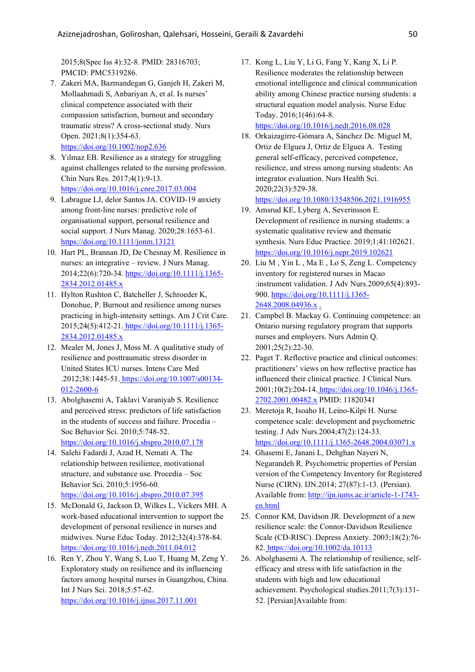2015;8(Spec Iss 4):32-8. PMID: 28316703; PMCID: PMC5319286.

- 7. Zakeri MA, Bazmandegan G, Ganjeh H, Zakeri M, Mollaahmadi S, Anbariyan A, et al. Is nurses' clinical competence associated with their compassion satisfaction, burnout and secondary traumatic stress? A cross‐sectional study. Nurs Open. 2021;8(1):354-63. [https://doi.org/10.1002/nop2.636](about:blank)
- 8. Yılmaz EB. Resilience as a strategy for struggling against challenges related to the nursing profession. Chin Nurs Res. 2017;4(1):9-13. [https://doi.org/10.1016/j.cnre.2017.03.004](about:blank)
- 9. Labrague LJ, delor Santos JA. COVID-19 anxiety among front-line nurses: predictive role of organisational support, personal resilience and social support. J Nurs Manag. 2020;28:1653-61. [https://doi.org/10.1111/jonm.13121](about:blank)
- 10. Hart PL, Brannan JD, De Chesnay M. Resilience in nurses: an integrative – review. J Nurs Manag. 2014;22(6):720-34. [https://doi.org/10.1111/j.1365-](about:blank) [2834.2012.01485.x](about:blank)
- 11. Hylton Rushton C, Batcheller J, Schroeder K, Donohue, P. Burnout and resilience among nurses practicing in high-intensity settings. Am J Crit Care. 2015;24(5):412-21. [https://doi.org/10.1111/j.1365-](about:blank) [2834.2012.01485.x](about:blank)
- 12. Mealer M, Jones J, Moss M. A qualitative study of resilience and posttraumatic stress disorder in United States ICU nurses. Intens Care Med .2012;38:1445-51. [https://doi.org/10.1007/s00134-](about:blank) [012-2600-6](about:blank)
- 13. Abolghasemi A, Taklavi Varaniyab S. Resilience and perceived stress: predictors of life satisfaction in the students of success and failure. Procedia – Soc Behavior Sci. 2010;5:748-52. [https://doi.org/10.1016/j.sbspro.2010.07.178](about:blank)
- 14. Salehi Fadardi J, Azad H, Nemati A. The relationship between resilience, motivational structure, and substance use. Procedia – Soc Behavior Sci. 2010;5:1956-60. [https://doi.org/10.1016/j.sbspro.2010.07.395](about:blank)
- 15. McDonald G, Jackson D, Wilkes L, Vickers MH. A work-based educational intervention to support the development of personal resilience in nurses and midwives. Nurse Educ Today. 2012;32(4):378-84. [https://doi.org/10.1016/j.nedt.2011.04.012](about:blank)
- 16. Ren Y, Zhou Y, Wang S, Luo T, Huang M, Zeng Y. Exploratory study on resilience and its influencing factors among hospital nurses in Guangzhou, China. Int J Nurs Sci. 2018;5:57-62. [https://doi.org/10.1016/j.ijnss.2017.11.001](about:blank)
- 17. Kong L, Liu Y, Li G, Fang Y, Kang X, Li P. Resilience moderates the relationship between emotional intelligence and clinical communication ability among Chinese practice nursing students: a structural equation model analysis. Nurse Educ Today. 2016;1(46):64-8. [https://doi.org/10.1016/j.nedt.2016.08.028](about:blank)
- 18. Orkaizagirre-Gómara A, Sánchez De. Miguel M, Ortiz de Elguea J, Ortiz de Elguea A. Testing general self‐efficacy, perceived competence, resilience, and stress among nursing students: An integrator evaluation. Nurs Health Sci. 2020;22(3):529-38.

[https://doi.org/10.1080/13548506.2021.1916955](about:blank)

- 19. Amsrud KE, Lyberg A, Severinsson E. Development of resilience in nursing students: a systematic qualitative review and thematic synthesis. Nurs Educ Practice. 2019;1;41:102621. [https://doi.org/10.1016/j.nepr.2019.102621](about:blank)
- 20. Liu M , Yin L , Ma E , Lo S, Zeng L. Competency inventory for registered nurses in Macao :instrument validation. J Adv Nurs.2009;65(4):893- 900. [https://doi.org/10.1111/j.1365-](about:blank) [2648.2008.04936.x](about:blank) .
- 21. Campbel B. Mackay G. Continuing competence: an Ontario nursing regulatory program that supports nurses and employers. Nurs Admin Q. 2001;25(2):22-30.
- 22. Paget T. Reflective practice and clinical outcomes: practitioners' views on how reflective practice has influenced their clinical practice. J Clinical Nurs. 2001;10(2):204-14. [https://doi.org/10.1046/j.1365-](about:blank) [2702.2001.00482.x](about:blank) PMID: 11820341
- 23. Meretoja R, Isoaho H, Leino-Kilpi H. Nurse competence scale: development and psychometric testing. J Adv Nurs.2004;47(2):124-33. [https://doi.org/10.1111/j.1365-2648.2004.03071.x](about:blank)
- 24. Ghasemi E, Janani L, Dehghan Nayeri N, Negarandeh R. Psychometric properties of Persian version of the Competency Inventory for Registered Nurse (CIRN). IJN.2014; 27(87):1-13. (Persian). Available from: [http://ijn.iums.ac.ir/article-1-1743](about:blank) [en.html](about:blank)
- 25. Connor KM, Davidson JR. Development of a new resilience scale: the Connor-Davidson Resilience Scale (CD-RISC). Depress Anxiety. 2003;18(2):76- 82. [https://doi.org/10.1002/da.10113](about:blank)
- 26. Abolghasemi A. The relationship of resilience, selfefficacy and stress with life satisfaction in the students with high and low educational achievement. Psychological studies.2011;7(3):131- 52. [Persian]Available from: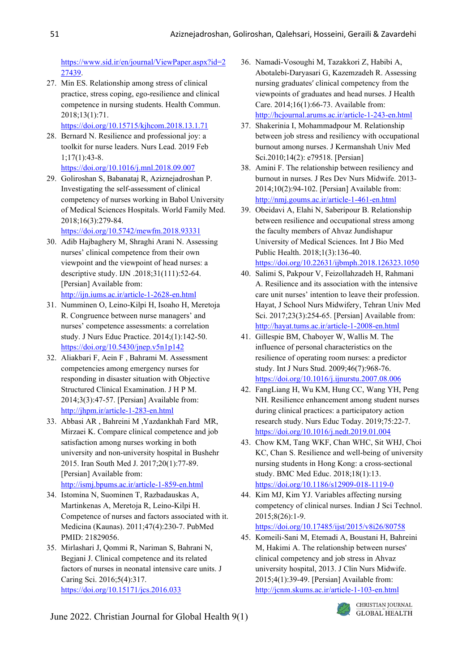[https://www.sid.ir/en/journal/ViewPaper.aspx?id=2](about:blank) [27439.](about:blank)

27. Min ES. Relationship among stress of clinical practice, stress coping, ego-resilience and clinical competence in nursing students. Health Commun. 2018;13(1):71.

[https://doi.org/10.15715/kjhcom.2018.13.1.71](about:blank)

- 28. Bernard N. Resilience and professional joy: a toolkit for nurse leaders. Nurs Lead. 2019 Feb 1;17(1):43-8.
	- [https://doi.org/10.1016/j.mnl.2018.09.007](about:blank)
- 29. Goliroshan S, Babanataj R, Aziznejadroshan P. Investigating the self-assessment of clinical competency of nurses working in Babol University of Medical Sciences Hospitals. World Family Med. 2018;16(3):279-84.

[https://doi.org/10.5742/mewfm.2018.93331](about:blank)

- 30. Adib Hajbaghery M, Shraghi Arani N. Assessing nurses' clinical competence from their own viewpoint and the viewpoint of head nurses: a descriptive study. IJN .2018;31(111):52-64. [Persian] Available from: [http://ijn.iums.ac.ir/article-1-2628-en.html](about:blank)
- 31. Numminen O, Leino-Kilpi H, Isoaho H, Meretoja R. Congruence between nurse managers' and nurses' competence assessments: a correlation study. J Nurs Educ Practice. 2014;(1):142-50. [https://doi.org/10.5430/jnep.v5n1p142](about:blank)
- 32. Aliakbari F, Aein F , Bahrami M. Assessment competencies among emergency nurses for responding in disaster situation with Objective Structured Clinical Examination. J H P M. 2014;3(3):47-57. [Persian] Available from: [http://jhpm.ir/article-1-283-en.html](about:blank)
- 33. Abbasi AR , Bahreini M ,Yazdankhah Fard MR, Mirzaei K. Compare clinical competence and job satisfaction among nurses working in both university and non-university hospital in Bushehr 2015. Iran South Med J. 2017;20(1):77-89. [Persian] Available from: [http://ismj.bpums.ac.ir/article-1-859-en.html](about:blank)
- 34. Istomina N, Suominen T, Razbadauskas A, Martinkenas A, Meretoja R, Leino-Kilpi H. Competence of nurses and factors associated with it. Medicina (Kaunas). 2011;47(4):230-7. PubMed PMID: 21829056.
- 35. Mirlashari J, Qommi R, Nariman S, Bahrani N, Begjani J. Clinical competence and its related factors of nurses in neonatal intensive care units. J Caring Sci. 2016;5(4):317. [https://doi.org/10.15171/jcs.2016.033](about:blank)
- 36. Namadi-Vosoughi M, Tazakkori Z, Habibi A, Abotalebi-Daryasari G, Kazemzadeh R. Assessing nursing graduates′ clinical competency from the viewpoints of graduates and head nurses. J Health Care. 2014;16(1):66-73. Available from: [http://hcjournal.arums.ac.ir/article-1-243-en.html](about:blank)
- 37. Shakerinia I, Mohammadpour M. Relationship between job stress and resiliency with occupational burnout among nurses. J Kermanshah Univ Med Sci.2010;14(2): e79518. [Persian]
- 38. Amini F. The relationship between resiliency and burnout in nurses. J Res Dev Nurs Midwife. 2013- 2014;10(2):94-102. [Persian] Available from: [http://nmj.goums.ac.ir/article-1-461-en.html](about:blank)
- 39. Obeidavi A, Elahi N, Saberipour B. Relationship between resilience and occupational stress among the faculty members of Ahvaz Jundishapur University of Medical Sciences. Int J Bio Med Public Health. 2018;1(3):136-40. [https://doi.org/10.22631/ijbmph.2018.126323.1050](about:blank)
- 40. Salimi S, Pakpour V, Feizollahzadeh H, Rahmani A. Resilience and its association with the intensive care unit nurses' intention to leave their profession. Hayat, J School Nurs Midwifery, Tehran Univ Med Sci. 2017;23(3):254-65. [Persian] Available from: [http://hayat.tums.ac.ir/article-1-2008-en.html](about:blank)
- 41. Gillespie BM, Chaboyer W, Wallis M. The influence of personal characteristics on the resilience of operating room nurses: a predictor study. Int J Nurs Stud. 2009;46(7):968-76. [https://doi.org/10.1016/j.ijnurstu.2007.08.006](about:blank)
- 42. FangLiang H, Wu KM, Hung CC, Wang YH, Peng NH. Resilience enhancement among student nurses during clinical practices: a participatory action research study. Nurs Educ Today. 2019;75:22-7. [https://doi.org/10.1016/j.nedt.2019.01.004](about:blank)
- 43. Chow KM, Tang WKF, Chan WHC, Sit WHJ, Choi KC, Chan S. Resilience and well-being of university nursing students in Hong Kong: a cross-sectional study. BMC Med Educ. 2018;18(1):13. [https://doi.org/10.1186/s12909-018-1119-0](about:blank)
- 44. Kim MJ, Kim YJ. Variables affecting nursing competency of clinical nurses. Indian J Sci Technol. 2015;8(26):1-9.

[https://doi.org/10.17485/ijst/2015/v8i26/80758](about:blank)

45. Komeili-Sani M, Etemadi A, Boustani H, Bahreini M, Hakimi A. The relationship between nurses' clinical competency and job stress in Ahvaz university hospital, 2013. J Clin Nurs Midwife. 2015;4(1):39-49. [Persian] Available from: [http://jcnm.skums.ac.ir/article-1-103-en.html](about:blank)

June 2022. Christian Journal for Global Health 9(1)